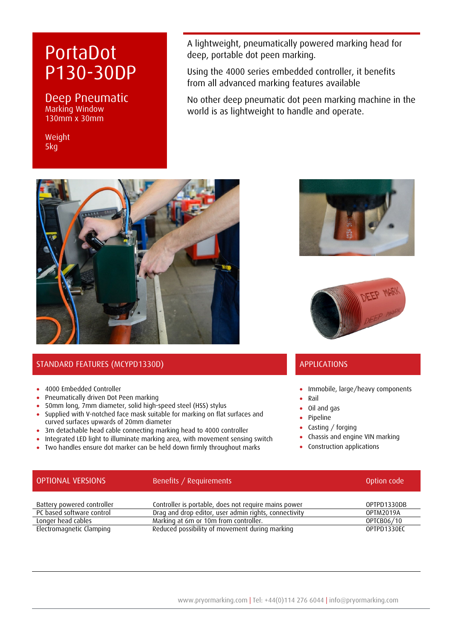# PortaDot P130-30DP

### Deep Pneumatic Marking Window 130mm x 30mm

Weight 5kg

A lightweight, pneumatically powered marking head for deep, portable dot peen marking.

Using the 4000 series embedded controller, it benefits from all advanced marking features available

No other deep pneumatic dot peen marking machine in the world is as lightweight to handle and operate.



## STANDARD FEATURES (MCYPD1330D) APPLICATIONS

- 4000 Embedded Controller
- Pneumatically driven Dot Peen marking
- 50mm long, 7mm diameter, solid high-speed steel (HSS) stylus
- Supplied with V-notched face mask suitable for marking on flat surfaces and curved surfaces upwards of 20mm diameter
- 3m detachable head cable connecting marking head to 4000 controller
- Integrated LED light to illuminate marking area, with movement sensing switch
- Two handles ensure dot marker can be held down firmly throughout marks





- Immobile, large/heavy components
- Rail
- Oil and gas
- Pipeline
- Casting / forging
- Chassis and engine VIN marking
- Construction applications

| <b>OPTIONAL VERSIONS</b>   | Benefits / Requirements                               | Option code |
|----------------------------|-------------------------------------------------------|-------------|
| Battery powered controller | Controller is portable, does not require mains power  | OPTPD1330DB |
| PC based software control  | Drag and drop editor, user admin rights, connectivity | OPTM2019A   |
| Longer head cables         | Marking at 6m or 10m from controller.                 | OPTCB06/10  |
| Electromagnetic Clamping   | Reduced possibility of movement during marking        | OPTPD1330EC |

#### www.pryormarking.com | Tel: +44(0)114 276 6044 | info@pryormarking.com